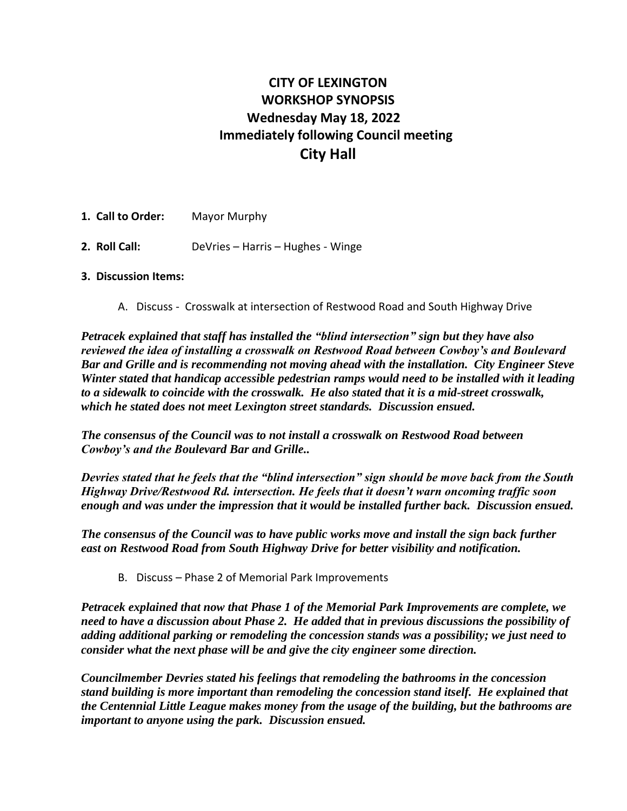# **CITY OF LEXINGTON WORKSHOP SYNOPSIS Wednesday May 18, 2022 Immediately following Council meeting City Hall**

**1. Call to Order:** Mayor Murphy **2. Roll Call:** DeVries – Harris – Hughes - Winge

## **3. Discussion Items:**

A. Discuss - Crosswalk at intersection of Restwood Road and South Highway Drive

*Petracek explained that staff has installed the "blind intersection" sign but they have also reviewed the idea of installing a crosswalk on Restwood Road between Cowboy's and Boulevard Bar and Grille and is recommending not moving ahead with the installation. City Engineer Steve Winter stated that handicap accessible pedestrian ramps would need to be installed with it leading to a sidewalk to coincide with the crosswalk. He also stated that it is a mid-street crosswalk, which he stated does not meet Lexington street standards. Discussion ensued.* 

*The consensus of the Council was to not install a crosswalk on Restwood Road between Cowboy's and the Boulevard Bar and Grille..*

*Devries stated that he feels that the "blind intersection" sign should be move back from the South Highway Drive/Restwood Rd. intersection. He feels that it doesn't warn oncoming traffic soon enough and was under the impression that it would be installed further back. Discussion ensued.* 

*The consensus of the Council was to have public works move and install the sign back further east on Restwood Road from South Highway Drive for better visibility and notification.*

B. Discuss – Phase 2 of Memorial Park Improvements

*Petracek explained that now that Phase 1 of the Memorial Park Improvements are complete, we need to have a discussion about Phase 2. He added that in previous discussions the possibility of adding additional parking or remodeling the concession stands was a possibility; we just need to consider what the next phase will be and give the city engineer some direction.* 

*Councilmember Devries stated his feelings that remodeling the bathrooms in the concession stand building is more important than remodeling the concession stand itself. He explained that the Centennial Little League makes money from the usage of the building, but the bathrooms are important to anyone using the park. Discussion ensued.*